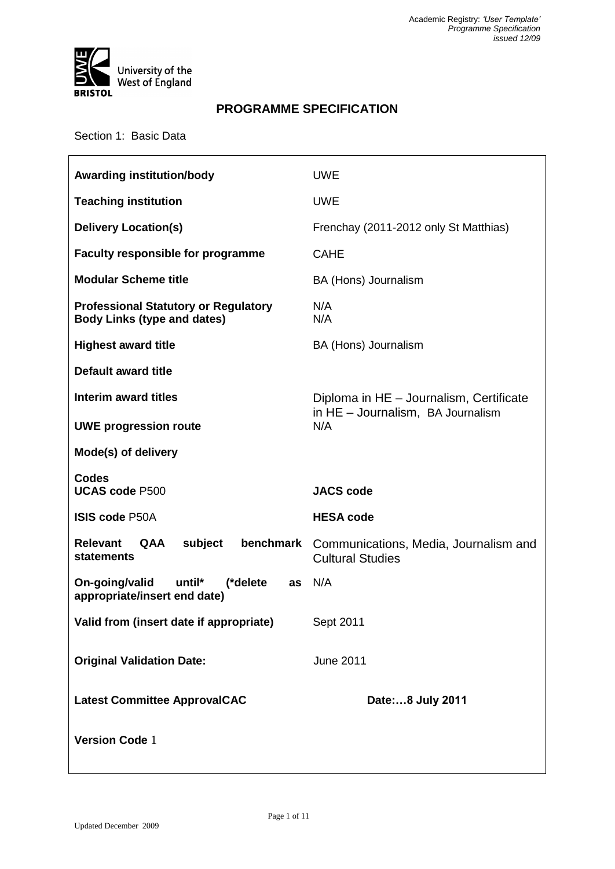

# **PROGRAMME SPECIFICATION**

Section 1: Basic Data

| <b>Awarding institution/body</b>                                                  | <b>UWE</b>                                                       |  |
|-----------------------------------------------------------------------------------|------------------------------------------------------------------|--|
| <b>Teaching institution</b>                                                       | <b>UWE</b>                                                       |  |
| <b>Delivery Location(s)</b>                                                       | Frenchay (2011-2012 only St Matthias)                            |  |
| Faculty responsible for programme                                                 | <b>CAHE</b>                                                      |  |
| <b>Modular Scheme title</b>                                                       | BA (Hons) Journalism                                             |  |
| <b>Professional Statutory or Regulatory</b><br><b>Body Links (type and dates)</b> | N/A<br>N/A                                                       |  |
| <b>Highest award title</b>                                                        | BA (Hons) Journalism                                             |  |
| <b>Default award title</b>                                                        |                                                                  |  |
| <b>Interim award titles</b>                                                       | Diploma in HE - Journalism, Certificate                          |  |
| <b>UWE progression route</b>                                                      | in HE - Journalism, BA Journalism<br>N/A                         |  |
| Mode(s) of delivery                                                               |                                                                  |  |
|                                                                                   |                                                                  |  |
| <b>Codes</b><br><b>UCAS code P500</b>                                             | <b>JACS code</b>                                                 |  |
| <b>ISIS code P50A</b>                                                             | <b>HESA code</b>                                                 |  |
| benchmark<br><b>Relevant</b><br><b>QAA</b><br>subject<br>statements               | Communications, Media, Journalism and<br><b>Cultural Studies</b> |  |
| On-going/valid<br>until*<br>(*delete<br>as<br>appropriate/insert end date)        | N/A                                                              |  |
| Valid from (insert date if appropriate)                                           | Sept 2011                                                        |  |
| <b>Original Validation Date:</b>                                                  | <b>June 2011</b>                                                 |  |
| <b>Latest Committee ApprovalCAC</b>                                               | Date:8 July 2011                                                 |  |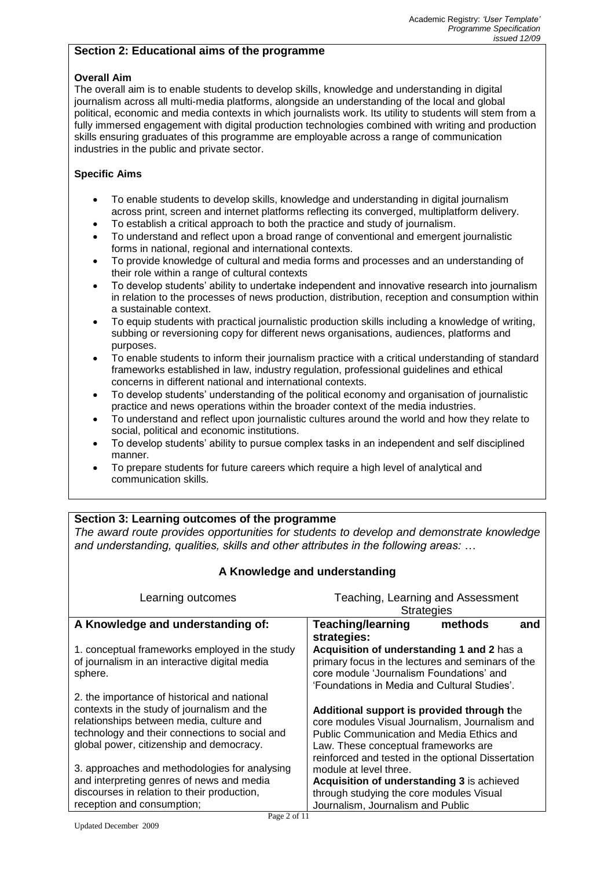## **Section 2: Educational aims of the programme**

#### **Overall Aim**

The overall aim is to enable students to develop skills, knowledge and understanding in digital journalism across all multi-media platforms, alongside an understanding of the local and global political, economic and media contexts in which journalists work. Its utility to students will stem from a fully immersed engagement with digital production technologies combined with writing and production skills ensuring graduates of this programme are employable across a range of communication industries in the public and private sector.

### **Specific Aims**

- To enable students to develop skills, knowledge and understanding in digital journalism across print, screen and internet platforms reflecting its converged, multiplatform delivery.
- To establish a critical approach to both the practice and study of journalism.
- To understand and reflect upon a broad range of conventional and emergent journalistic forms in national, regional and international contexts.
- To provide knowledge of cultural and media forms and processes and an understanding of their role within a range of cultural contexts
- To develop students' ability to undertake independent and innovative research into journalism in relation to the processes of news production, distribution, reception and consumption within a sustainable context.
- To equip students with practical journalistic production skills including a knowledge of writing, subbing or reversioning copy for different news organisations, audiences, platforms and purposes.
- To enable students to inform their journalism practice with a critical understanding of standard frameworks established in law, industry regulation, professional guidelines and ethical concerns in different national and international contexts.
- To develop students' understanding of the political economy and organisation of journalistic practice and news operations within the broader context of the media industries.
- To understand and reflect upon journalistic cultures around the world and how they relate to social, political and economic institutions.
- To develop students' ability to pursue complex tasks in an independent and self disciplined manner.
- To prepare students for future careers which require a high level of analytical and communication skills.

# **Section 3: Learning outcomes of the programme**

*The award route provides opportunities for students to develop and demonstrate knowledge and understanding, qualities, skills and other attributes in the following areas: …*

| A Knowledge and understanding                                                                                                                                                                                                         |                                                                                                                                                                                                                                         |         |     |
|---------------------------------------------------------------------------------------------------------------------------------------------------------------------------------------------------------------------------------------|-----------------------------------------------------------------------------------------------------------------------------------------------------------------------------------------------------------------------------------------|---------|-----|
| Learning outcomes                                                                                                                                                                                                                     | Teaching, Learning and Assessment                                                                                                                                                                                                       |         |     |
|                                                                                                                                                                                                                                       | <b>Strategies</b>                                                                                                                                                                                                                       |         |     |
| A Knowledge and understanding of:                                                                                                                                                                                                     | <b>Teaching/learning</b>                                                                                                                                                                                                                | methods | and |
|                                                                                                                                                                                                                                       | strategies:                                                                                                                                                                                                                             |         |     |
| 1. conceptual frameworks employed in the study<br>of journalism in an interactive digital media<br>sphere.                                                                                                                            | Acquisition of understanding 1 and 2 has a<br>primary focus in the lectures and seminars of the<br>core module 'Journalism Foundations' and<br>'Foundations in Media and Cultural Studies'.                                             |         |     |
| 2. the importance of historical and national<br>contexts in the study of journalism and the<br>relationships between media, culture and<br>technology and their connections to social and<br>global power, citizenship and democracy. | Additional support is provided through the<br>core modules Visual Journalism, Journalism and<br>Public Communication and Media Ethics and<br>Law. These conceptual frameworks are<br>reinforced and tested in the optional Dissertation |         |     |
| 3. approaches and methodologies for analysing<br>and interpreting genres of news and media<br>discourses in relation to their production,<br>reception and consumption;                                                               | module at level three.<br>Acquisition of understanding 3 is achieved<br>through studying the core modules Visual<br>Journalism, Journalism and Public                                                                                   |         |     |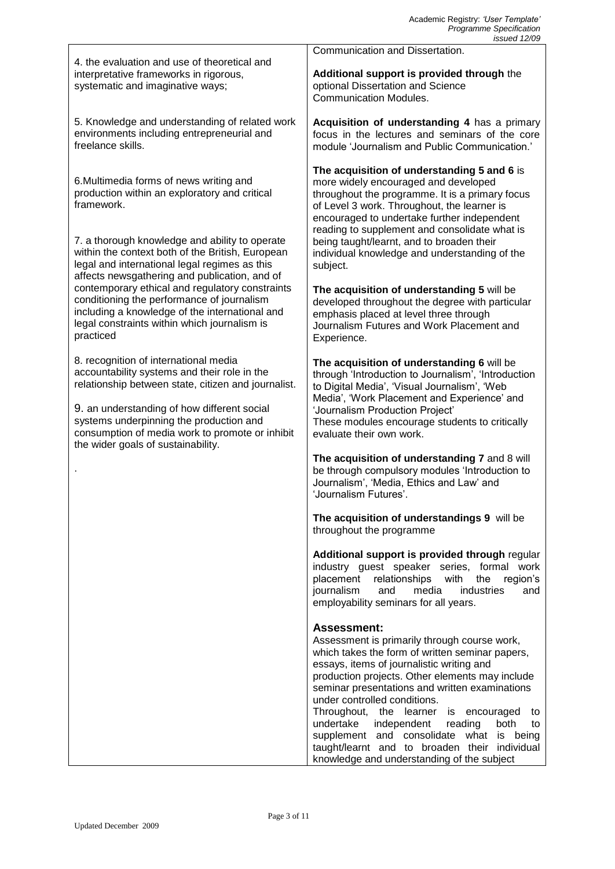|                                                                                                                                                                                                                                                                                                                                 | issued 12/09                                                                                                                                                                                                                                                                                                                                                                                                                                                                                                                                                 |
|---------------------------------------------------------------------------------------------------------------------------------------------------------------------------------------------------------------------------------------------------------------------------------------------------------------------------------|--------------------------------------------------------------------------------------------------------------------------------------------------------------------------------------------------------------------------------------------------------------------------------------------------------------------------------------------------------------------------------------------------------------------------------------------------------------------------------------------------------------------------------------------------------------|
| 4. the evaluation and use of theoretical and                                                                                                                                                                                                                                                                                    | Communication and Dissertation.                                                                                                                                                                                                                                                                                                                                                                                                                                                                                                                              |
| interpretative frameworks in rigorous,<br>systematic and imaginative ways;                                                                                                                                                                                                                                                      | Additional support is provided through the<br>optional Dissertation and Science<br><b>Communication Modules.</b>                                                                                                                                                                                                                                                                                                                                                                                                                                             |
| 5. Knowledge and understanding of related work<br>environments including entrepreneurial and<br>freelance skills.                                                                                                                                                                                                               | Acquisition of understanding 4 has a primary<br>focus in the lectures and seminars of the core<br>module 'Journalism and Public Communication.'                                                                                                                                                                                                                                                                                                                                                                                                              |
| 6. Multimedia forms of news writing and<br>production within an exploratory and critical<br>framework.<br>7. a thorough knowledge and ability to operate<br>within the context both of the British, European                                                                                                                    | The acquisition of understanding 5 and 6 is<br>more widely encouraged and developed<br>throughout the programme. It is a primary focus<br>of Level 3 work. Throughout, the learner is<br>encouraged to undertake further independent<br>reading to supplement and consolidate what is<br>being taught/learnt, and to broaden their<br>individual knowledge and understanding of the                                                                                                                                                                          |
| legal and international legal regimes as this                                                                                                                                                                                                                                                                                   | subject.                                                                                                                                                                                                                                                                                                                                                                                                                                                                                                                                                     |
| affects newsgathering and publication, and of<br>contemporary ethical and regulatory constraints<br>conditioning the performance of journalism<br>including a knowledge of the international and<br>legal constraints within which journalism is<br>practiced                                                                   | The acquisition of understanding 5 will be<br>developed throughout the degree with particular<br>emphasis placed at level three through<br>Journalism Futures and Work Placement and<br>Experience.                                                                                                                                                                                                                                                                                                                                                          |
| 8. recognition of international media<br>accountability systems and their role in the<br>relationship between state, citizen and journalist.<br>9. an understanding of how different social<br>systems underpinning the production and<br>consumption of media work to promote or inhibit<br>the wider goals of sustainability. | The acquisition of understanding 6 will be<br>through 'Introduction to Journalism', 'Introduction<br>to Digital Media', 'Visual Journalism', 'Web<br>Media', 'Work Placement and Experience' and<br>'Journalism Production Project'<br>These modules encourage students to critically<br>evaluate their own work.                                                                                                                                                                                                                                            |
|                                                                                                                                                                                                                                                                                                                                 | The acquisition of understanding 7 and 8 will<br>be through compulsory modules 'Introduction to<br>Journalism', 'Media, Ethics and Law' and<br>'Journalism Futures'.                                                                                                                                                                                                                                                                                                                                                                                         |
|                                                                                                                                                                                                                                                                                                                                 | The acquisition of understandings 9 will be<br>throughout the programme                                                                                                                                                                                                                                                                                                                                                                                                                                                                                      |
|                                                                                                                                                                                                                                                                                                                                 | Additional support is provided through regular<br>industry guest speaker series, formal work<br>placement relationships<br>the<br>with<br>region's<br>media<br>journalism<br>and<br>industries<br>and<br>employability seminars for all years.                                                                                                                                                                                                                                                                                                               |
|                                                                                                                                                                                                                                                                                                                                 | <b>Assessment:</b><br>Assessment is primarily through course work,<br>which takes the form of written seminar papers,<br>essays, items of journalistic writing and<br>production projects. Other elements may include<br>seminar presentations and written examinations<br>under controlled conditions.<br>Throughout, the learner<br>is<br>encouraged<br>to<br>undertake<br>independent<br>reading<br>both<br>to<br>supplement and consolidate what is being<br>taught/learnt and to broaden their individual<br>knowledge and understanding of the subject |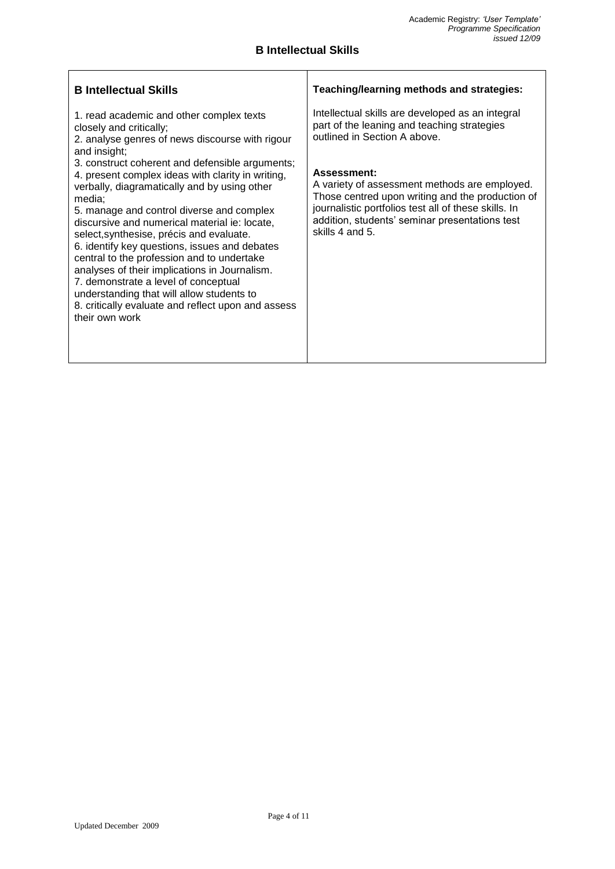### **B Intellectual Skills**

| <b>B</b> Intellectual Skills                                                                                                                                                                                                                                                                                                                                                                                                                                                                                                                                                                                                                                                                                                                                    | Teaching/learning methods and strategies:                                                                                                                                                                                                                                                                                                                                        |
|-----------------------------------------------------------------------------------------------------------------------------------------------------------------------------------------------------------------------------------------------------------------------------------------------------------------------------------------------------------------------------------------------------------------------------------------------------------------------------------------------------------------------------------------------------------------------------------------------------------------------------------------------------------------------------------------------------------------------------------------------------------------|----------------------------------------------------------------------------------------------------------------------------------------------------------------------------------------------------------------------------------------------------------------------------------------------------------------------------------------------------------------------------------|
| 1. read academic and other complex texts<br>closely and critically;<br>2. analyse genres of news discourse with rigour<br>and insight;<br>3. construct coherent and defensible arguments;<br>4. present complex ideas with clarity in writing,<br>verbally, diagramatically and by using other<br>media;<br>5. manage and control diverse and complex<br>discursive and numerical material ie: locate,<br>select, synthesise, précis and evaluate.<br>6. identify key questions, issues and debates<br>central to the profession and to undertake<br>analyses of their implications in Journalism.<br>7. demonstrate a level of conceptual<br>understanding that will allow students to<br>8. critically evaluate and reflect upon and assess<br>their own work | Intellectual skills are developed as an integral<br>part of the leaning and teaching strategies<br>outlined in Section A above.<br>Assessment:<br>A variety of assessment methods are employed.<br>Those centred upon writing and the production of<br>journalistic portfolios test all of these skills. In<br>addition, students' seminar presentations test<br>skills 4 and 5. |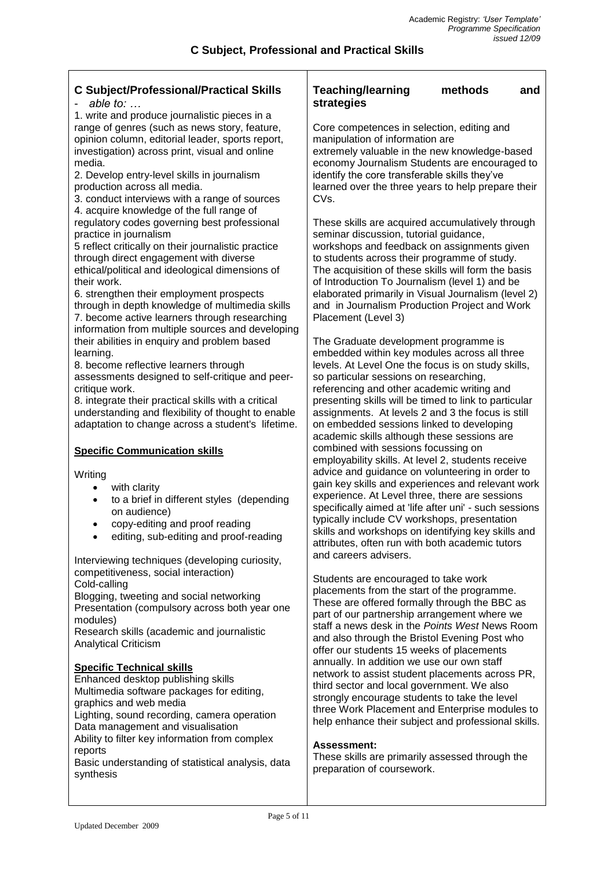#### **C Subject/Professional/Practical Skills** - *able to: …* 1. write and produce journalistic pieces in a range of genres (such as news story, feature, opinion column, editorial leader, sports report, investigation) across print, visual and online media. 2. Develop entry-level skills in journalism production across all media. 3. conduct interviews with a range of sources 4. acquire knowledge of the full range of regulatory codes governing best professional practice in journalism 5 reflect critically on their journalistic practice through direct engagement with diverse ethical/political and ideological dimensions of their work. 6. strengthen their employment prospects through in depth knowledge of multimedia skills 7. become active learners through researching information from multiple sources and developing their abilities in enquiry and problem based learning. 8. become reflective learners through assessments designed to self-critique and peercritique work. 8. integrate their practical skills with a critical understanding and flexibility of thought to enable adaptation to change across a student's lifetime. **Specific Communication skills Writing**  with clarity to a brief in different styles (depending on audience) copy-editing and proof reading editing, sub-editing and proof-reading Interviewing techniques (developing curiosity, competitiveness, social interaction) Cold-calling Blogging, tweeting and social networking Presentation (compulsory across both year one modules) Research skills (academic and journalistic Analytical Criticism **Specific Technical skills** Enhanced desktop publishing skills Multimedia software packages for editing, graphics and web media Lighting, sound recording, camera operation Data management and visualisation Ability to filter key information from complex reports Basic understanding of statistical analysis, data synthesis **Teaching/learning methods and strategies** Core competences in selection, editing and manipulation of information are extremely valuable in the new knowledge-based economy Journalism Students are encouraged to identify the core transferable skills they've learned over the three years to help prepare their CVs. These skills are acquired accumulatively through seminar discussion, tutorial quidance, workshops and feedback on assignments given to students across their programme of study. The acquisition of these skills will form the basis of Introduction To Journalism (level 1) and be elaborated primarily in Visual Journalism (level 2) and in Journalism Production Project and Work Placement (Level 3) The Graduate development programme is embedded within key modules across all three levels. At Level One the focus is on study skills, so particular sessions on researching, referencing and other academic writing and presenting skills will be timed to link to particular assignments. At levels 2 and 3 the focus is still on embedded sessions linked to developing academic skills although these sessions are combined with sessions focussing on employability skills. At level 2, students receive advice and guidance on volunteering in order to gain key skills and experiences and relevant work experience. At Level three, there are sessions specifically aimed at 'life after uni' - such sessions typically include CV workshops, presentation skills and workshops on identifying key skills and attributes, often run with both academic tutors and careers advisers. Students are encouraged to take work placements from the start of the programme. These are offered formally through the BBC as part of our partnership arrangement where we staff a news desk in the *Points West* News Room and also through the Bristol Evening Post who offer our students 15 weeks of placements annually. In addition we use our own staff network to assist student placements across PR, third sector and local government. We also strongly encourage students to take the level three Work Placement and Enterprise modules to help enhance their subject and professional skills. **Assessment:** These skills are primarily assessed through the preparation of coursework.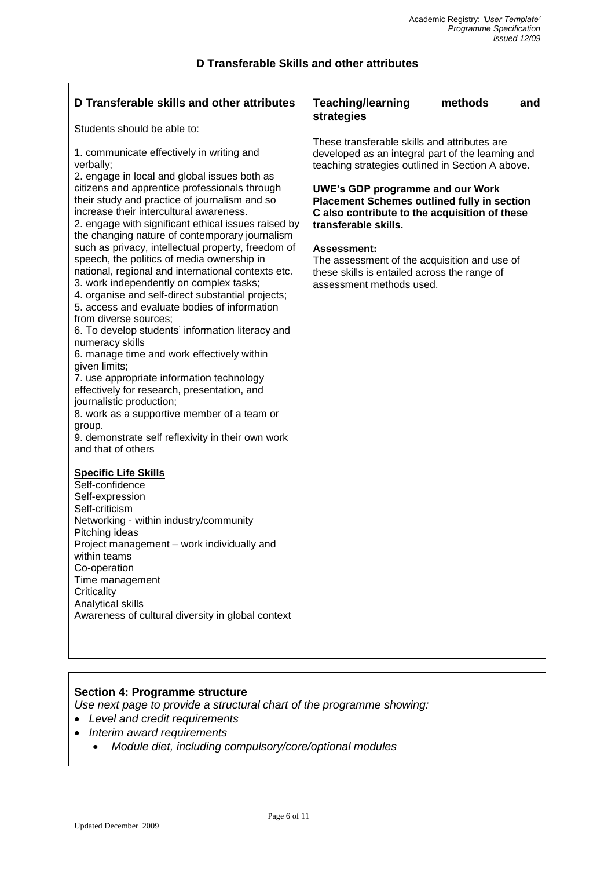# **D Transferable Skills and other attributes**

| D Transferable skills and other attributes                                                                                                                                                                                                                                                                                                                                                                                                                                                                                                                                                                                                                                                                                                                                                                                                                                                                                                                                                                                                                                                                                                                                                                                                                                                                                                                                                                               | <b>Teaching/learning</b><br>methods<br>and                                                                                                                                                                                                                                                                                                                                                                                                                                                      |
|--------------------------------------------------------------------------------------------------------------------------------------------------------------------------------------------------------------------------------------------------------------------------------------------------------------------------------------------------------------------------------------------------------------------------------------------------------------------------------------------------------------------------------------------------------------------------------------------------------------------------------------------------------------------------------------------------------------------------------------------------------------------------------------------------------------------------------------------------------------------------------------------------------------------------------------------------------------------------------------------------------------------------------------------------------------------------------------------------------------------------------------------------------------------------------------------------------------------------------------------------------------------------------------------------------------------------------------------------------------------------------------------------------------------------|-------------------------------------------------------------------------------------------------------------------------------------------------------------------------------------------------------------------------------------------------------------------------------------------------------------------------------------------------------------------------------------------------------------------------------------------------------------------------------------------------|
| Students should be able to:<br>1. communicate effectively in writing and<br>verbally;<br>2. engage in local and global issues both as<br>citizens and apprentice professionals through<br>their study and practice of journalism and so<br>increase their intercultural awareness.<br>2. engage with significant ethical issues raised by<br>the changing nature of contemporary journalism<br>such as privacy, intellectual property, freedom of<br>speech, the politics of media ownership in<br>national, regional and international contexts etc.<br>3. work independently on complex tasks;<br>4. organise and self-direct substantial projects;<br>5. access and evaluate bodies of information<br>from diverse sources;<br>6. To develop students' information literacy and<br>numeracy skills<br>6. manage time and work effectively within<br>given limits;<br>7. use appropriate information technology<br>effectively for research, presentation, and<br>journalistic production;<br>8. work as a supportive member of a team or<br>group.<br>9. demonstrate self reflexivity in their own work<br>and that of others<br><b>Specific Life Skills</b><br>Self-confidence<br>Self-expression<br>Self-criticism<br>Networking - within industry/community<br>Pitching ideas<br>Project management - work individually and<br>within teams<br>Co-operation<br>Time management<br>Criticality<br>Analytical skills | strategies<br>These transferable skills and attributes are<br>developed as an integral part of the learning and<br>teaching strategies outlined in Section A above.<br><b>UWE's GDP programme and our Work</b><br><b>Placement Schemes outlined fully in section</b><br>C also contribute to the acquisition of these<br>transferable skills.<br><b>Assessment:</b><br>The assessment of the acquisition and use of<br>these skills is entailed across the range of<br>assessment methods used. |
| Awareness of cultural diversity in global context                                                                                                                                                                                                                                                                                                                                                                                                                                                                                                                                                                                                                                                                                                                                                                                                                                                                                                                                                                                                                                                                                                                                                                                                                                                                                                                                                                        |                                                                                                                                                                                                                                                                                                                                                                                                                                                                                                 |

# **Section 4: Programme structure**

*Use next page to provide a structural chart of the programme showing:*

- *Level and credit requirements*
- *Interim award requirements*
	- *Module diet, including compulsory/core/optional modules*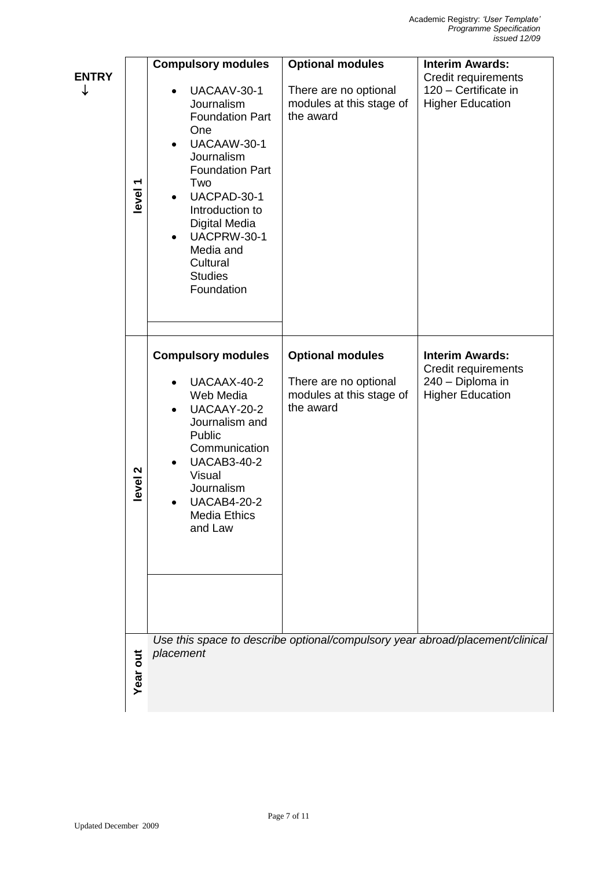| <b>ENTRY</b><br>↓ | level <sub>1</sub> | <b>Compulsory modules</b><br>UACAAV-30-1<br>Journalism<br><b>Foundation Part</b><br>One<br>UACAAW-30-1<br>Journalism<br><b>Foundation Part</b><br>Two<br>UACPAD-30-1<br>$\bullet$<br>Introduction to<br><b>Digital Media</b><br>UACPRW-30-1<br>Media and<br>Cultural<br><b>Studies</b><br>Foundation | <b>Optional modules</b><br>There are no optional<br>modules at this stage of<br>the award | <b>Interim Awards:</b><br>Credit requirements<br>120 - Certificate in<br><b>Higher Education</b> |
|-------------------|--------------------|------------------------------------------------------------------------------------------------------------------------------------------------------------------------------------------------------------------------------------------------------------------------------------------------------|-------------------------------------------------------------------------------------------|--------------------------------------------------------------------------------------------------|
|                   | level <sub>2</sub> | <b>Compulsory modules</b><br>UACAAX-40-2<br>Web Media<br>UACAAY-20-2<br>Journalism and<br>Public<br>Communication<br><b>UACAB3-40-2</b><br>Visual<br>Journalism<br><b>UACAB4-20-2</b><br><b>Media Ethics</b><br>and Law                                                                              | <b>Optional modules</b><br>There are no optional<br>modules at this stage of<br>the award | <b>Interim Awards:</b><br>Credit requirements<br>240 - Diploma in<br><b>Higher Education</b>     |
|                   | Year out           | placement                                                                                                                                                                                                                                                                                            | Use this space to describe optional/compulsory year abroad/placement/clinical             |                                                                                                  |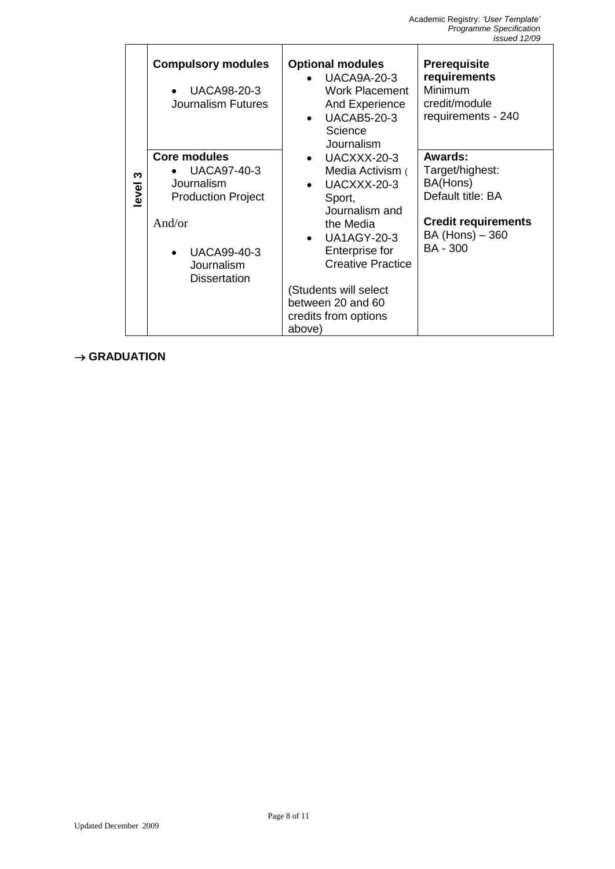|                              | w<br>level | <b>Compulsory modules</b><br>UACA98-20-3<br>$\bullet$<br><b>Journalism Futures</b><br><b>Core modules</b><br><b>UACA97-40-3</b><br>$\bullet$<br>Journalism<br><b>Production Project</b><br>And/or<br><b>UACA99-40-3</b><br>$\bullet$<br>Journalism<br><b>Dissertation</b> | <b>Optional modules</b><br><b>UACA9A-20-3</b><br><b>Work Placement</b><br>And Experience<br><b>UACAB5-20-3</b><br>$\bullet$<br>Science<br>Journalism<br>UACXXX-20-3<br>$\bullet$<br>Media Activism (<br>UACXXX-20-3<br>$\bullet$<br>Sport,<br>Journalism and<br>the Media<br><b>UA1AGY-20-3</b><br>$\bullet$<br>Enterprise for<br><b>Creative Practice</b><br>(Students will select<br>between 20 and 60<br>credits from options<br>above) | Prerequisite<br>requirements<br>Minimum<br>credit/module<br>requirements - 240<br><b>Awards:</b><br>Target/highest:<br>BA(Hons)<br>Default title: BA<br><b>Credit requirements</b><br>BA (Hons) - 360<br><b>BA - 300</b> |
|------------------------------|------------|---------------------------------------------------------------------------------------------------------------------------------------------------------------------------------------------------------------------------------------------------------------------------|--------------------------------------------------------------------------------------------------------------------------------------------------------------------------------------------------------------------------------------------------------------------------------------------------------------------------------------------------------------------------------------------------------------------------------------------|--------------------------------------------------------------------------------------------------------------------------------------------------------------------------------------------------------------------------|
| $\rightarrow$ GRADUATION     |            |                                                                                                                                                                                                                                                                           | Page 8 of 11                                                                                                                                                                                                                                                                                                                                                                                                                               |                                                                                                                                                                                                                          |
| <b>Updated December 2009</b> |            |                                                                                                                                                                                                                                                                           |                                                                                                                                                                                                                                                                                                                                                                                                                                            |                                                                                                                                                                                                                          |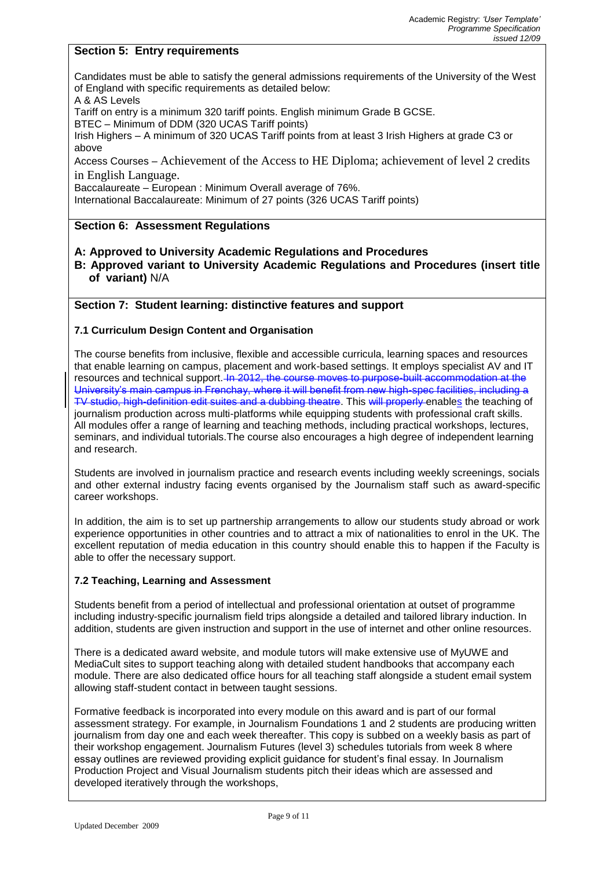### **Section 5: Entry requirements**

Candidates must be able to satisfy the general admissions requirements of the University of the West of England with specific requirements as detailed below:

A & AS Levels

Tariff on entry is a minimum 320 tariff points. English minimum Grade B GCSE.

BTEC – Minimum of DDM (320 UCAS Tariff points)

Irish Highers – A minimum of 320 UCAS Tariff points from at least 3 Irish Highers at grade C3 or above

Access Courses – Achievement of the Access to HE Diploma; achievement of level 2 credits in English Language.

Baccalaureate – European : Minimum Overall average of 76%.

International Baccalaureate: Minimum of 27 points (326 UCAS Tariff points)

#### **Section 6: Assessment Regulations**

#### **A: Approved to University Academic Regulations and Procedures**

**B: Approved variant to University Academic Regulations and Procedures (insert title of variant)** N/A

#### **Section 7: Student learning: distinctive features and support**

#### **7.1 Curriculum Design Content and Organisation**

The course benefits from inclusive, flexible and accessible curricula, learning spaces and resources that enable learning on campus, placement and work-based settings. It employs specialist AV and IT resources and technical support. In 2012, the course moves to purpose-built accommodation at the University's main campus in Frenchay, where it will benefit from new high-spec facilities, including a TV studio, high-definition edit suites and a dubbing theatre. This will properly enables the teaching of journalism production across multi-platforms while equipping students with professional craft skills. All modules offer a range of learning and teaching methods, including practical workshops, lectures, seminars, and individual tutorials.The course also encourages a high degree of independent learning and research.

Students are involved in journalism practice and research events including weekly screenings, socials and other external industry facing events organised by the Journalism staff such as award-specific career workshops.

In addition, the aim is to set up partnership arrangements to allow our students study abroad or work experience opportunities in other countries and to attract a mix of nationalities to enrol in the UK. The excellent reputation of media education in this country should enable this to happen if the Faculty is able to offer the necessary support.

#### **7.2 Teaching, Learning and Assessment**

Students benefit from a period of intellectual and professional orientation at outset of programme including industry-specific journalism field trips alongside a detailed and tailored library induction. In addition, students are given instruction and support in the use of internet and other online resources.

There is a dedicated award website, and module tutors will make extensive use of MyUWE and MediaCult sites to support teaching along with detailed student handbooks that accompany each module. There are also dedicated office hours for all teaching staff alongside a student email system allowing staff-student contact in between taught sessions.

Formative feedback is incorporated into every module on this award and is part of our formal assessment strategy. For example, in Journalism Foundations 1 and 2 students are producing written journalism from day one and each week thereafter. This copy is subbed on a weekly basis as part of their workshop engagement. Journalism Futures (level 3) schedules tutorials from week 8 where essay outlines are reviewed providing explicit guidance for student's final essay. In Journalism Production Project and Visual Journalism students pitch their ideas which are assessed and developed iteratively through the workshops,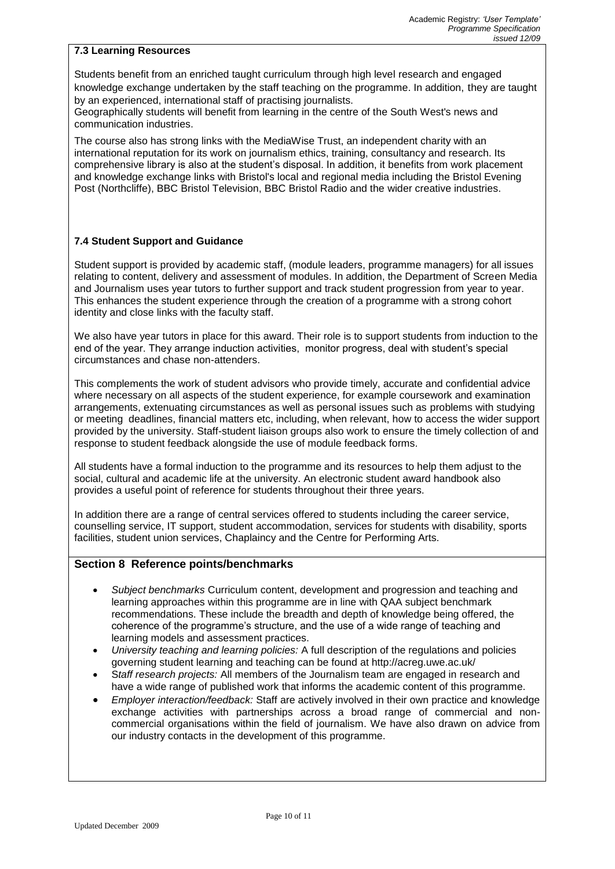#### **7.3 Learning Resources**

Students benefit from an enriched taught curriculum through high level research and engaged knowledge exchange undertaken by the staff teaching on the programme. In addition, they are taught by an experienced, international staff of practising journalists.

Geographically students will benefit from learning in the centre of the South West's news and communication industries.

The course also has strong links with the MediaWise Trust, an independent charity with an international reputation for its work on journalism ethics, training, consultancy and research. Its comprehensive library is also at the student's disposal. In addition, it benefits from work placement and knowledge exchange links with Bristol's local and regional media including the Bristol Evening Post (Northcliffe), BBC Bristol Television, BBC Bristol Radio and the wider creative industries.

#### **7.4 Student Support and Guidance**

Student support is provided by academic staff, (module leaders, programme managers) for all issues relating to content, delivery and assessment of modules. In addition, the Department of Screen Media and Journalism uses year tutors to further support and track student progression from year to year. This enhances the student experience through the creation of a programme with a strong cohort identity and close links with the faculty staff.

We also have year tutors in place for this award. Their role is to support students from induction to the end of the year. They arrange induction activities, monitor progress, deal with student's special circumstances and chase non-attenders.

This complements the work of student advisors who provide timely, accurate and confidential advice where necessary on all aspects of the student experience, for example coursework and examination arrangements, extenuating circumstances as well as personal issues such as problems with studying or meeting deadlines, financial matters etc, including, when relevant, how to access the wider support provided by the university. Staff-student liaison groups also work to ensure the timely collection of and response to student feedback alongside the use of module feedback forms.

All students have a formal induction to the programme and its resources to help them adjust to the social, cultural and academic life at the university. An electronic student award handbook also provides a useful point of reference for students throughout their three years.

In addition there are a range of central services offered to students including the career service, counselling service, IT support, student accommodation, services for students with disability, sports facilities, student union services, Chaplaincy and the Centre for Performing Arts.

#### **Section 8 Reference points/benchmarks**

- *Subject benchmarks* Curriculum content, development and progression and teaching and learning approaches within this programme are in line with QAA subject benchmark recommendations. These include the breadth and depth of knowledge being offered, the coherence of the programme's structure, and the use of a wide range of teaching and learning models and assessment practices.
- *University teaching and learning policies:* A full description of the regulations and policies governing student learning and teaching can be found at http://acreg.uwe.ac.uk/
- S*taff research projects:* All members of the Journalism team are engaged in research and have a wide range of published work that informs the academic content of this programme.
- *Employer interaction/feedback:* Staff are actively involved in their own practice and knowledge exchange activities with partnerships across a broad range of commercial and noncommercial organisations within the field of journalism. We have also drawn on advice from our industry contacts in the development of this programme.